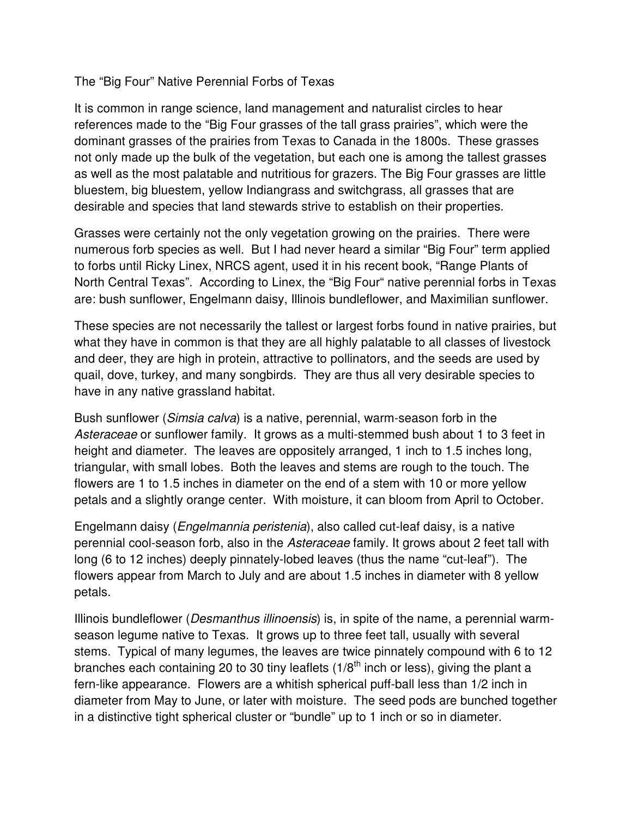## The "Big Four" Native Perennial Forbs of Texas

It is common in range science, land management and naturalist circles to hear references made to the "Big Four grasses of the tall grass prairies", which were the dominant grasses of the prairies from Texas to Canada in the 1800s. These grasses not only made up the bulk of the vegetation, but each one is among the tallest grasses as well as the most palatable and nutritious for grazers. The Big Four grasses are little bluestem, big bluestem, yellow Indiangrass and switchgrass, all grasses that are desirable and species that land stewards strive to establish on their properties.

Grasses were certainly not the only vegetation growing on the prairies. There were numerous forb species as well. But I had never heard a similar "Big Four" term applied to forbs until Ricky Linex, NRCS agent, used it in his recent book, "Range Plants of North Central Texas". According to Linex, the "Big Four" native perennial forbs in Texas are: bush sunflower, Engelmann daisy, Illinois bundleflower, and Maximilian sunflower.

These species are not necessarily the tallest or largest forbs found in native prairies, but what they have in common is that they are all highly palatable to all classes of livestock and deer, they are high in protein, attractive to pollinators, and the seeds are used by quail, dove, turkey, and many songbirds. They are thus all very desirable species to have in any native grassland habitat.

Bush sunflower (Simsia calva) is a native, perennial, warm-season forb in the Asteraceae or sunflower family. It grows as a multi-stemmed bush about 1 to 3 feet in height and diameter. The leaves are oppositely arranged, 1 inch to 1.5 inches long, triangular, with small lobes. Both the leaves and stems are rough to the touch. The flowers are 1 to 1.5 inches in diameter on the end of a stem with 10 or more yellow petals and a slightly orange center. With moisture, it can bloom from April to October.

Engelmann daisy (Engelmannia peristenia), also called cut-leaf daisy, is a native perennial cool-season forb, also in the Asteraceae family. It grows about 2 feet tall with long (6 to 12 inches) deeply pinnately-lobed leaves (thus the name "cut-leaf"). The flowers appear from March to July and are about 1.5 inches in diameter with 8 yellow petals.

Illinois bundleflower (Desmanthus illinoensis) is, in spite of the name, a perennial warmseason legume native to Texas. It grows up to three feet tall, usually with several stems. Typical of many legumes, the leaves are twice pinnately compound with 6 to 12 branches each containing 20 to 30 tiny leaflets (1/8<sup>th</sup> inch or less), giving the plant a fern-like appearance. Flowers are a whitish spherical puff-ball less than 1/2 inch in diameter from May to June, or later with moisture. The seed pods are bunched together in a distinctive tight spherical cluster or "bundle" up to 1 inch or so in diameter.